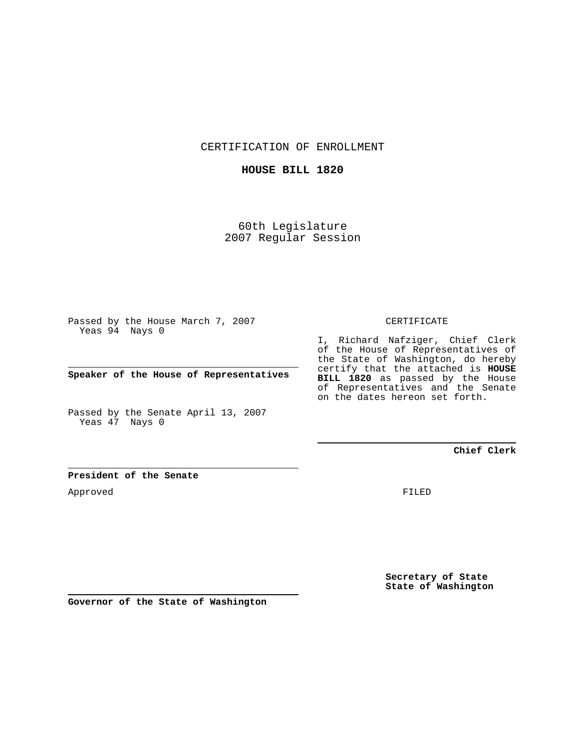CERTIFICATION OF ENROLLMENT

### **HOUSE BILL 1820**

60th Legislature 2007 Regular Session

Passed by the House March 7, 2007 Yeas 94 Nays 0

**Speaker of the House of Representatives**

Passed by the Senate April 13, 2007 Yeas 47 Nays 0

### CERTIFICATE

I, Richard Nafziger, Chief Clerk of the House of Representatives of the State of Washington, do hereby certify that the attached is **HOUSE BILL 1820** as passed by the House of Representatives and the Senate on the dates hereon set forth.

## **Chief Clerk**

### **President of the Senate**

Approved

FILED

**Secretary of State State of Washington**

**Governor of the State of Washington**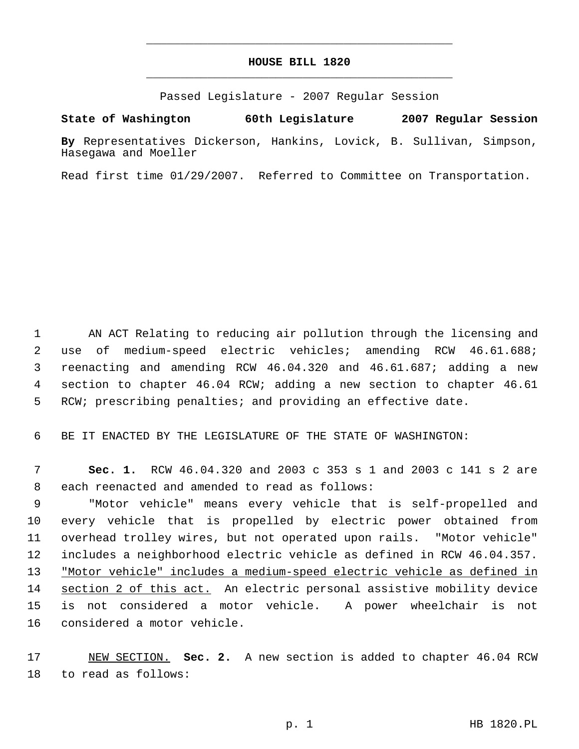# **HOUSE BILL 1820** \_\_\_\_\_\_\_\_\_\_\_\_\_\_\_\_\_\_\_\_\_\_\_\_\_\_\_\_\_\_\_\_\_\_\_\_\_\_\_\_\_\_\_\_\_

\_\_\_\_\_\_\_\_\_\_\_\_\_\_\_\_\_\_\_\_\_\_\_\_\_\_\_\_\_\_\_\_\_\_\_\_\_\_\_\_\_\_\_\_\_

Passed Legislature - 2007 Regular Session

**State of Washington 60th Legislature 2007 Regular Session**

**By** Representatives Dickerson, Hankins, Lovick, B. Sullivan, Simpson, Hasegawa and Moeller

Read first time 01/29/2007. Referred to Committee on Transportation.

 AN ACT Relating to reducing air pollution through the licensing and use of medium-speed electric vehicles; amending RCW 46.61.688; reenacting and amending RCW 46.04.320 and 46.61.687; adding a new section to chapter 46.04 RCW; adding a new section to chapter 46.61 RCW; prescribing penalties; and providing an effective date.

6 BE IT ENACTED BY THE LEGISLATURE OF THE STATE OF WASHINGTON:

 7 **Sec. 1.** RCW 46.04.320 and 2003 c 353 s 1 and 2003 c 141 s 2 are 8 each reenacted and amended to read as follows:

 "Motor vehicle" means every vehicle that is self-propelled and every vehicle that is propelled by electric power obtained from overhead trolley wires, but not operated upon rails. "Motor vehicle" includes a neighborhood electric vehicle as defined in RCW 46.04.357. 13 "Motor vehicle" includes a medium-speed electric vehicle as defined in 14 section 2 of this act. An electric personal assistive mobility device is not considered a motor vehicle. A power wheelchair is not considered a motor vehicle.

17 NEW SECTION. **Sec. 2.** A new section is added to chapter 46.04 RCW 18 to read as follows: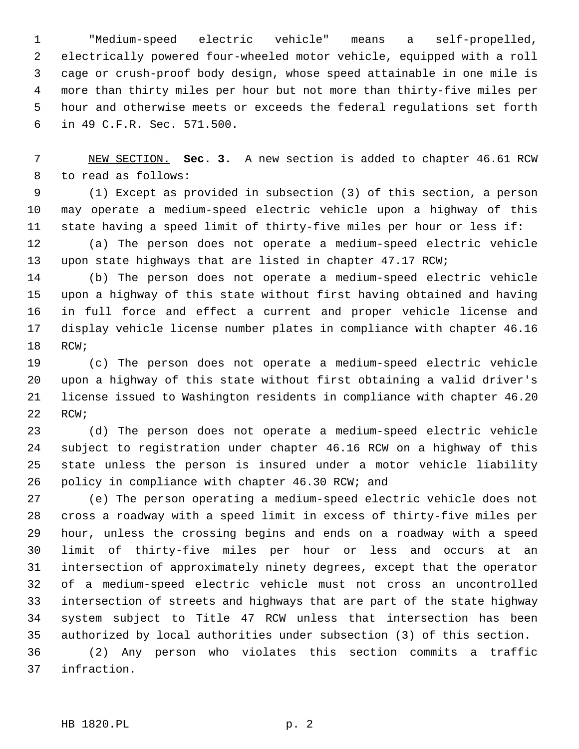"Medium-speed electric vehicle" means a self-propelled, electrically powered four-wheeled motor vehicle, equipped with a roll cage or crush-proof body design, whose speed attainable in one mile is more than thirty miles per hour but not more than thirty-five miles per hour and otherwise meets or exceeds the federal regulations set forth in 49 C.F.R. Sec. 571.500.

 NEW SECTION. **Sec. 3.** A new section is added to chapter 46.61 RCW to read as follows:

 (1) Except as provided in subsection (3) of this section, a person may operate a medium-speed electric vehicle upon a highway of this state having a speed limit of thirty-five miles per hour or less if:

 (a) The person does not operate a medium-speed electric vehicle upon state highways that are listed in chapter 47.17 RCW;

 (b) The person does not operate a medium-speed electric vehicle upon a highway of this state without first having obtained and having in full force and effect a current and proper vehicle license and display vehicle license number plates in compliance with chapter 46.16 RCW;

 (c) The person does not operate a medium-speed electric vehicle upon a highway of this state without first obtaining a valid driver's license issued to Washington residents in compliance with chapter 46.20 RCW;

 (d) The person does not operate a medium-speed electric vehicle subject to registration under chapter 46.16 RCW on a highway of this state unless the person is insured under a motor vehicle liability policy in compliance with chapter 46.30 RCW; and

 (e) The person operating a medium-speed electric vehicle does not cross a roadway with a speed limit in excess of thirty-five miles per hour, unless the crossing begins and ends on a roadway with a speed limit of thirty-five miles per hour or less and occurs at an intersection of approximately ninety degrees, except that the operator of a medium-speed electric vehicle must not cross an uncontrolled intersection of streets and highways that are part of the state highway system subject to Title 47 RCW unless that intersection has been authorized by local authorities under subsection (3) of this section.

 (2) Any person who violates this section commits a traffic infraction.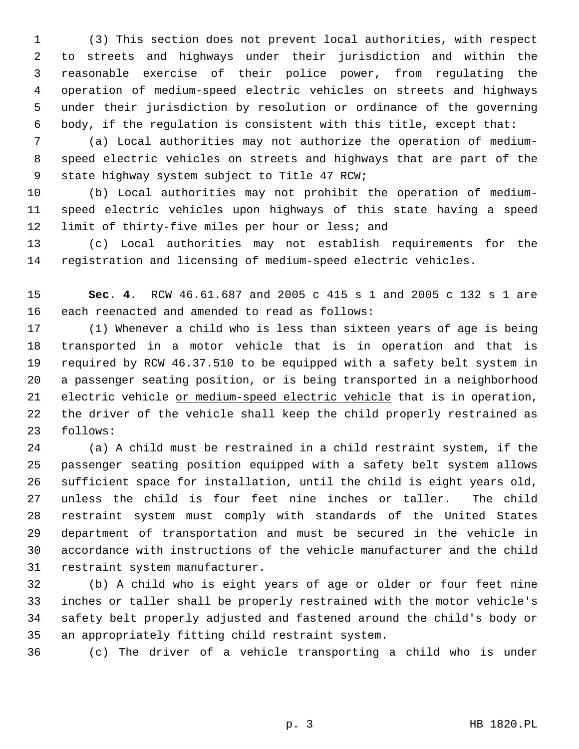(3) This section does not prevent local authorities, with respect to streets and highways under their jurisdiction and within the reasonable exercise of their police power, from regulating the operation of medium-speed electric vehicles on streets and highways under their jurisdiction by resolution or ordinance of the governing body, if the regulation is consistent with this title, except that:

 (a) Local authorities may not authorize the operation of medium- speed electric vehicles on streets and highways that are part of the state highway system subject to Title 47 RCW;

 (b) Local authorities may not prohibit the operation of medium- speed electric vehicles upon highways of this state having a speed 12 limit of thirty-five miles per hour or less; and

 (c) Local authorities may not establish requirements for the registration and licensing of medium-speed electric vehicles.

 **Sec. 4.** RCW 46.61.687 and 2005 c 415 s 1 and 2005 c 132 s 1 are each reenacted and amended to read as follows:

 (1) Whenever a child who is less than sixteen years of age is being transported in a motor vehicle that is in operation and that is required by RCW 46.37.510 to be equipped with a safety belt system in a passenger seating position, or is being transported in a neighborhood 21 electric vehicle or medium-speed electric vehicle that is in operation, the driver of the vehicle shall keep the child properly restrained as follows:

 (a) A child must be restrained in a child restraint system, if the passenger seating position equipped with a safety belt system allows sufficient space for installation, until the child is eight years old, unless the child is four feet nine inches or taller. The child restraint system must comply with standards of the United States department of transportation and must be secured in the vehicle in accordance with instructions of the vehicle manufacturer and the child restraint system manufacturer.

 (b) A child who is eight years of age or older or four feet nine inches or taller shall be properly restrained with the motor vehicle's safety belt properly adjusted and fastened around the child's body or an appropriately fitting child restraint system.

(c) The driver of a vehicle transporting a child who is under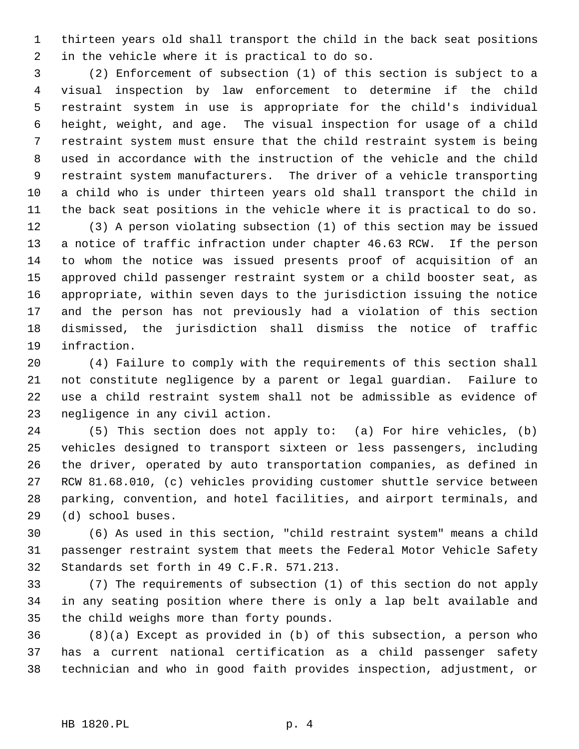thirteen years old shall transport the child in the back seat positions in the vehicle where it is practical to do so.

 (2) Enforcement of subsection (1) of this section is subject to a visual inspection by law enforcement to determine if the child restraint system in use is appropriate for the child's individual height, weight, and age. The visual inspection for usage of a child restraint system must ensure that the child restraint system is being used in accordance with the instruction of the vehicle and the child restraint system manufacturers. The driver of a vehicle transporting a child who is under thirteen years old shall transport the child in the back seat positions in the vehicle where it is practical to do so.

 (3) A person violating subsection (1) of this section may be issued a notice of traffic infraction under chapter 46.63 RCW. If the person to whom the notice was issued presents proof of acquisition of an approved child passenger restraint system or a child booster seat, as appropriate, within seven days to the jurisdiction issuing the notice and the person has not previously had a violation of this section dismissed, the jurisdiction shall dismiss the notice of traffic infraction.

 (4) Failure to comply with the requirements of this section shall not constitute negligence by a parent or legal guardian. Failure to use a child restraint system shall not be admissible as evidence of negligence in any civil action.

 (5) This section does not apply to: (a) For hire vehicles, (b) vehicles designed to transport sixteen or less passengers, including the driver, operated by auto transportation companies, as defined in RCW 81.68.010, (c) vehicles providing customer shuttle service between parking, convention, and hotel facilities, and airport terminals, and (d) school buses.

 (6) As used in this section, "child restraint system" means a child passenger restraint system that meets the Federal Motor Vehicle Safety Standards set forth in 49 C.F.R. 571.213.

 (7) The requirements of subsection (1) of this section do not apply in any seating position where there is only a lap belt available and the child weighs more than forty pounds.

 (8)(a) Except as provided in (b) of this subsection, a person who has a current national certification as a child passenger safety technician and who in good faith provides inspection, adjustment, or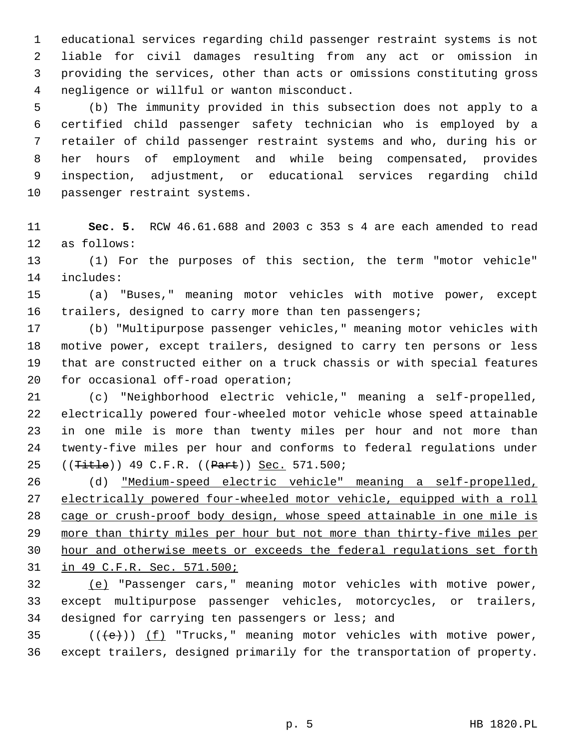educational services regarding child passenger restraint systems is not liable for civil damages resulting from any act or omission in providing the services, other than acts or omissions constituting gross negligence or willful or wanton misconduct.

 (b) The immunity provided in this subsection does not apply to a certified child passenger safety technician who is employed by a retailer of child passenger restraint systems and who, during his or her hours of employment and while being compensated, provides inspection, adjustment, or educational services regarding child passenger restraint systems.

 **Sec. 5.** RCW 46.61.688 and 2003 c 353 s 4 are each amended to read as follows:

 (1) For the purposes of this section, the term "motor vehicle" includes:

 (a) "Buses," meaning motor vehicles with motive power, except 16 trailers, designed to carry more than ten passengers;

 (b) "Multipurpose passenger vehicles," meaning motor vehicles with motive power, except trailers, designed to carry ten persons or less that are constructed either on a truck chassis or with special features for occasional off-road operation;

 (c) "Neighborhood electric vehicle," meaning a self-propelled, electrically powered four-wheeled motor vehicle whose speed attainable in one mile is more than twenty miles per hour and not more than twenty-five miles per hour and conforms to federal regulations under 25 ((<del>Title</del>)) 49 C.F.R. ((Part)) Sec. 571.500;

 (d) "Medium-speed electric vehicle" meaning a self-propelled, electrically powered four-wheeled motor vehicle, equipped with a roll cage or crush-proof body design, whose speed attainable in one mile is more than thirty miles per hour but not more than thirty-five miles per hour and otherwise meets or exceeds the federal regulations set forth in 49 C.F.R. Sec. 571.500;

 (e) "Passenger cars," meaning motor vehicles with motive power, except multipurpose passenger vehicles, motorcycles, or trailers, designed for carrying ten passengers or less; and

35  $((\text{+e})^*)$  (f) "Trucks," meaning motor vehicles with motive power, except trailers, designed primarily for the transportation of property.